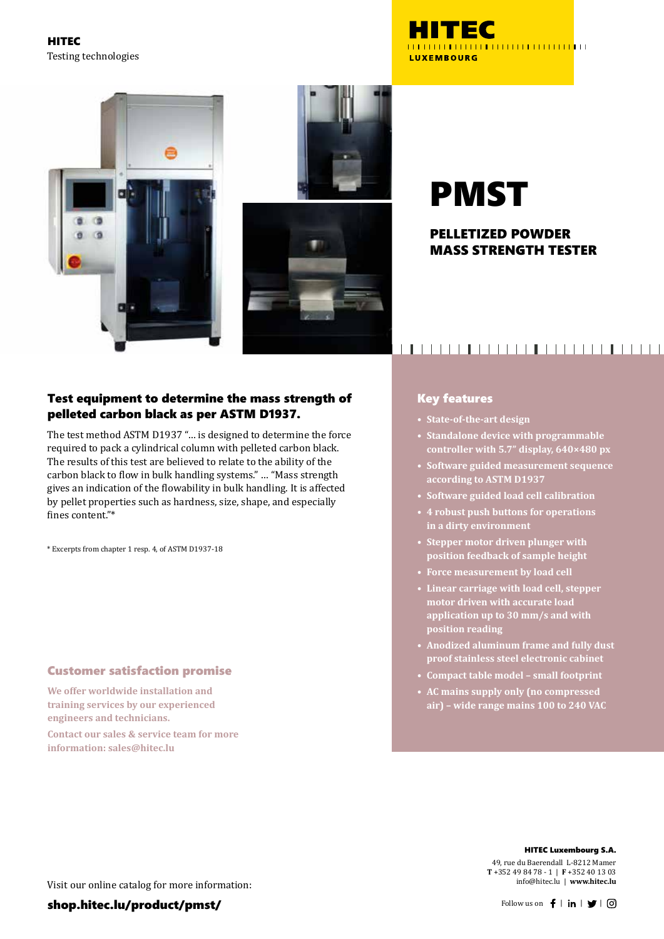HITEC Testing technologies







# PMST

#### PELLETIZED POWDER MASS STRENGTH TESTER

#### Test equipment to determine the mass strength of pelleted carbon black as per ASTM D1937.

The test method ASTM D1937 "… is designed to determine the force required to pack a cylindrical column with pelleted carbon black. The results of this test are believed to relate to the ability of the carbon black to flow in bulk handling systems." … "Mass strength gives an indication of the flowability in bulk handling. It is affected by pellet properties such as hardness, size, shape, and especially fines content"\*

\* Excerpts from chapter 1 resp. 4, of ASTM D1937-18

#### Customer satisfaction promise

**We offer worldwide installation and training services by our experienced engineers and technicians.**

**Contact our sales & service team for more information: sales@hitec.lu**

## 

#### Key features

**• State-of-the-art design**

- **• Standalone device with programmable controller with 5.7" display, 640×480 px**
- **• Software guided measurement sequence according to ASTM D1937**
- **• Software guided load cell calibration**
- **• 4 robust push buttons for operations in a dirty environment**
- **• Stepper motor driven plunger with position feedback of sample height**
- **• Force measurement by load cell**
- **• Linear carriage with load cell, stepper motor driven with accurate load application up to 30 mm/s and with position reading**
- **• Anodized aluminum frame and fully dust proof stainless steel electronic cabinet**
- **• Compact table model small footprint**
- **• AC mains supply only (no compressed air) – wide range mains 100 to 240 VAC**

HITEC Luxembourg S.A.

49, rue du Baerendall L-8212 Mamer **T** +352 49 84 78 - 1 | **F** +352 40 13 03 info@hitec.lu | **www.hitec.lu**

Visit our online catalog for more information: